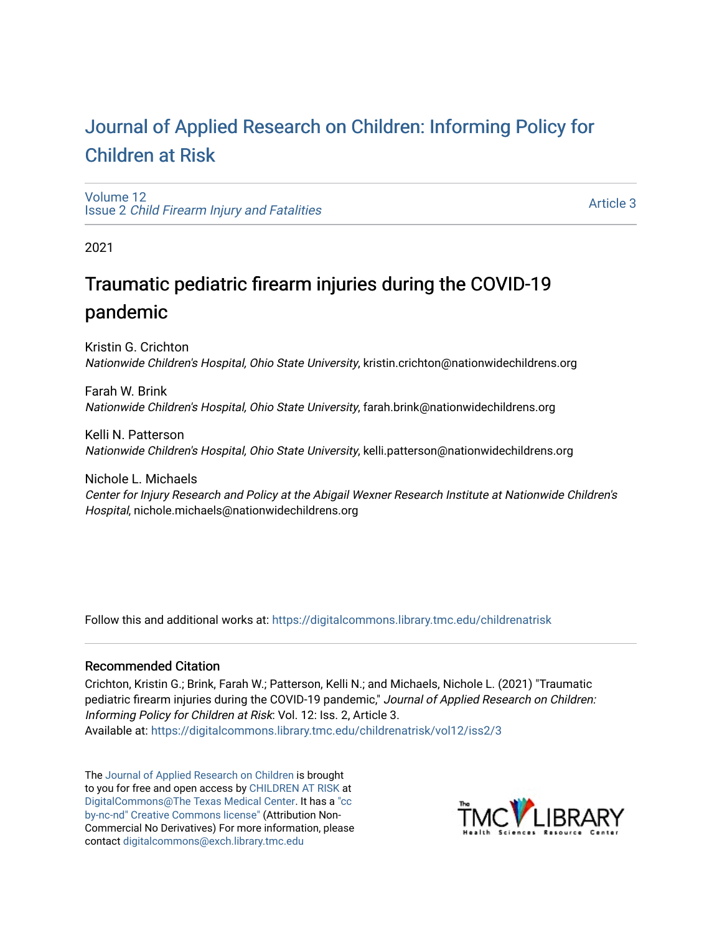# [Journal of Applied Research on Children: Informing Policy for](https://digitalcommons.library.tmc.edu/childrenatrisk) [Children at Risk](https://digitalcommons.library.tmc.edu/childrenatrisk)

[Volume 12](https://digitalcommons.library.tmc.edu/childrenatrisk/vol12) Issue 2 [Child Firearm Injury and Fatalities](https://digitalcommons.library.tmc.edu/childrenatrisk/vol12/iss2) 

[Article 3](https://digitalcommons.library.tmc.edu/childrenatrisk/vol12/iss2/3) 

2021

# Traumatic pediatric firearm injuries during the COVID-19 pandemic

Kristin G. Crichton Nationwide Children's Hospital, Ohio State University, kristin.crichton@nationwidechildrens.org

Farah W. Brink Nationwide Children's Hospital, Ohio State University, farah.brink@nationwidechildrens.org

Kelli N. Patterson Nationwide Children's Hospital, Ohio State University, kelli.patterson@nationwidechildrens.org

Nichole L. Michaels Center for Injury Research and Policy at the Abigail Wexner Research Institute at Nationwide Children's Hospital, nichole.michaels@nationwidechildrens.org

Follow this and additional works at: [https://digitalcommons.library.tmc.edu/childrenatrisk](https://digitalcommons.library.tmc.edu/childrenatrisk?utm_source=digitalcommons.library.tmc.edu%2Fchildrenatrisk%2Fvol12%2Fiss2%2F3&utm_medium=PDF&utm_campaign=PDFCoverPages) 

#### Recommended Citation

Crichton, Kristin G.; Brink, Farah W.; Patterson, Kelli N.; and Michaels, Nichole L. (2021) "Traumatic pediatric firearm injuries during the COVID-19 pandemic," Journal of Applied Research on Children: Informing Policy for Children at Risk: Vol. 12: Iss. 2, Article 3. Available at: [https://digitalcommons.library.tmc.edu/childrenatrisk/vol12/iss2/3](https://digitalcommons.library.tmc.edu/childrenatrisk/vol12/iss2/3?utm_source=digitalcommons.library.tmc.edu%2Fchildrenatrisk%2Fvol12%2Fiss2%2F3&utm_medium=PDF&utm_campaign=PDFCoverPages) 

The [Journal of Applied Research on Children](http://digitalcommons.library.tmc.edu/childrenatrisk) is brought to you for free and open access by [CHILDREN AT RISK](http://childrenatrisk.org/) at [DigitalCommons@The Texas Medical Center](http://digitalcommons.library.tmc.edu/). It has a ["cc](http://creativecommons.org/licenses/by-nc-nd/3.0/)  [by-nc-nd" Creative Commons license"](http://creativecommons.org/licenses/by-nc-nd/3.0/) (Attribution Non-Commercial No Derivatives) For more information, please contact [digitalcommons@exch.library.tmc.edu](mailto:digitalcommons@exch.library.tmc.edu) 

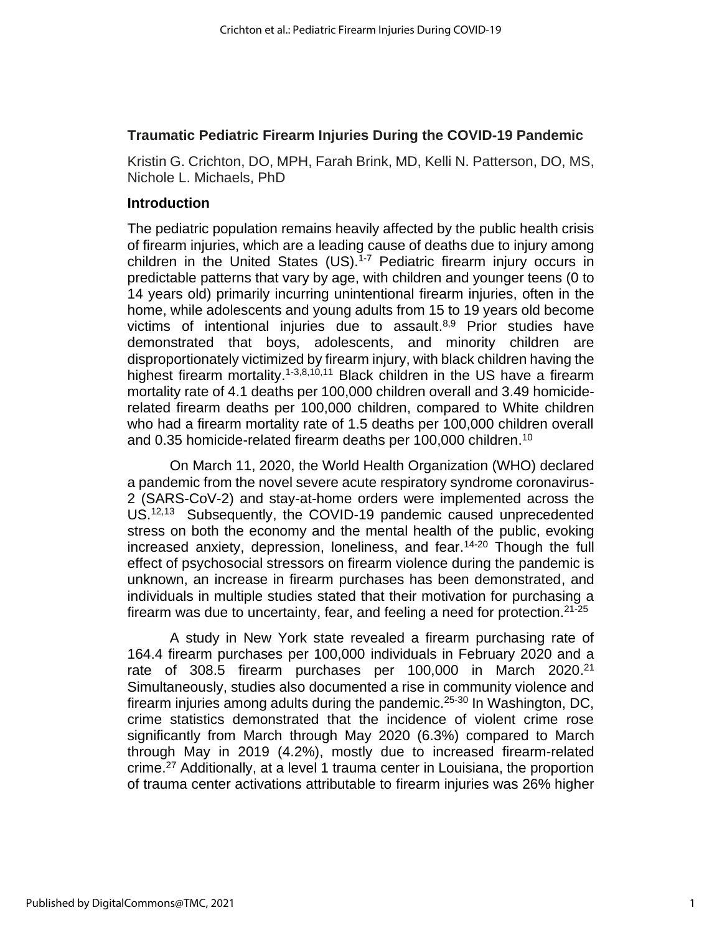#### **Traumatic Pediatric Firearm Injuries During the COVID-19 Pandemic**

Kristin G. Crichton, DO, MPH, Farah Brink, MD, Kelli N. Patterson, DO, MS, Nichole L. Michaels, PhD

#### **Introduction**

The pediatric population remains heavily affected by the public health crisis of firearm injuries, which are a leading cause of deaths due to injury among children in the United States (US). 1-7 Pediatric firearm injury occurs in predictable patterns that vary by age, with children and younger teens (0 to 14 years old) primarily incurring unintentional firearm injuries, often in the home, while adolescents and young adults from 15 to 19 years old become victims of intentional injuries due to assault. 8,9 Prior studies have demonstrated that boys, adolescents, and minority children are disproportionately victimized by firearm injury, with black children having the highest firearm mortality.<sup>1-3,8,10,11</sup> Black children in the US have a firearm mortality rate of 4.1 deaths per 100,000 children overall and 3.49 homiciderelated firearm deaths per 100,000 children, compared to White children who had a firearm mortality rate of 1.5 deaths per 100,000 children overall and 0.35 homicide-related firearm deaths per 100,000 children. 10

On March 11, 2020, the World Health Organization (WHO) declared a pandemic from the novel severe acute respiratory syndrome coronavirus-2 (SARS-CoV-2) and stay-at-home orders were implemented across the US.<sup>12,13</sup> Subsequently, the COVID-19 pandemic caused unprecedented stress on both the economy and the mental health of the public, evoking increased anxiety, depression, loneliness, and fear. 14-20 Though the full effect of psychosocial stressors on firearm violence during the pandemic is unknown, an increase in firearm purchases has been demonstrated, and individuals in multiple studies stated that their motivation for purchasing a firearm was due to uncertainty, fear, and feeling a need for protection.<sup>21-25</sup>

A study in New York state revealed a firearm purchasing rate of 164.4 firearm purchases per 100,000 individuals in February 2020 and a rate of 308.5 firearm purchases per 100,000 in March 2020.<sup>21</sup> Simultaneously, studies also documented a rise in community violence and firearm injuries among adults during the pandemic.<sup>25-30</sup> In Washington, DC, crime statistics demonstrated that the incidence of violent crime rose significantly from March through May 2020 (6.3%) compared to March through May in 2019 (4.2%), mostly due to increased firearm-related crime. <sup>27</sup> Additionally, at a level 1 trauma center in Louisiana, the proportion of trauma center activations attributable to firearm injuries was 26% higher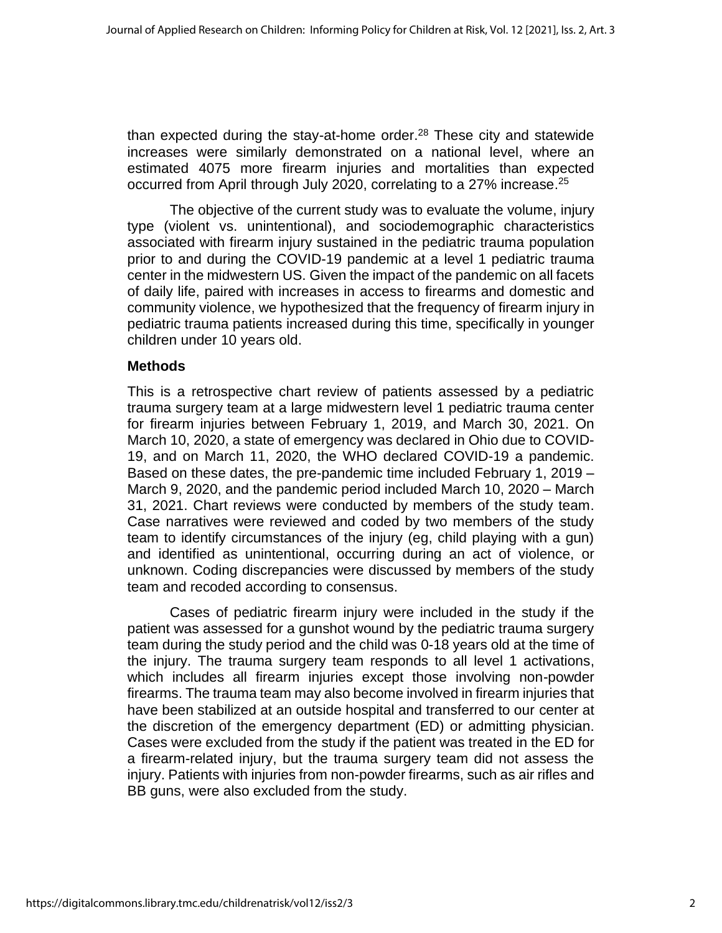than expected during the stay-at-home order.<sup>28</sup> These city and statewide increases were similarly demonstrated on a national level, where an estimated 4075 more firearm injuries and mortalities than expected occurred from April through July 2020, correlating to a 27% increase.<sup>25</sup>

The objective of the current study was to evaluate the volume, injury type (violent vs. unintentional), and sociodemographic characteristics associated with firearm injury sustained in the pediatric trauma population prior to and during the COVID-19 pandemic at a level 1 pediatric trauma center in the midwestern US. Given the impact of the pandemic on all facets of daily life, paired with increases in access to firearms and domestic and community violence, we hypothesized that the frequency of firearm injury in pediatric trauma patients increased during this time, specifically in younger children under 10 years old.

### **Methods**

This is a retrospective chart review of patients assessed by a pediatric trauma surgery team at a large midwestern level 1 pediatric trauma center for firearm injuries between February 1, 2019, and March 30, 2021. On March 10, 2020, a state of emergency was declared in Ohio due to COVID-19, and on March 11, 2020, the WHO declared COVID-19 a pandemic. Based on these dates, the pre-pandemic time included February 1, 2019 – March 9, 2020, and the pandemic period included March 10, 2020 – March 31, 2021. Chart reviews were conducted by members of the study team. Case narratives were reviewed and coded by two members of the study team to identify circumstances of the injury (eg, child playing with a gun) and identified as unintentional, occurring during an act of violence, or unknown. Coding discrepancies were discussed by members of the study team and recoded according to consensus.

Cases of pediatric firearm injury were included in the study if the patient was assessed for a gunshot wound by the pediatric trauma surgery team during the study period and the child was 0-18 years old at the time of the injury. The trauma surgery team responds to all level 1 activations, which includes all firearm injuries except those involving non-powder firearms. The trauma team may also become involved in firearm injuries that have been stabilized at an outside hospital and transferred to our center at the discretion of the emergency department (ED) or admitting physician. Cases were excluded from the study if the patient was treated in the ED for a firearm-related injury, but the trauma surgery team did not assess the injury. Patients with injuries from non-powder firearms, such as air rifles and BB guns, were also excluded from the study.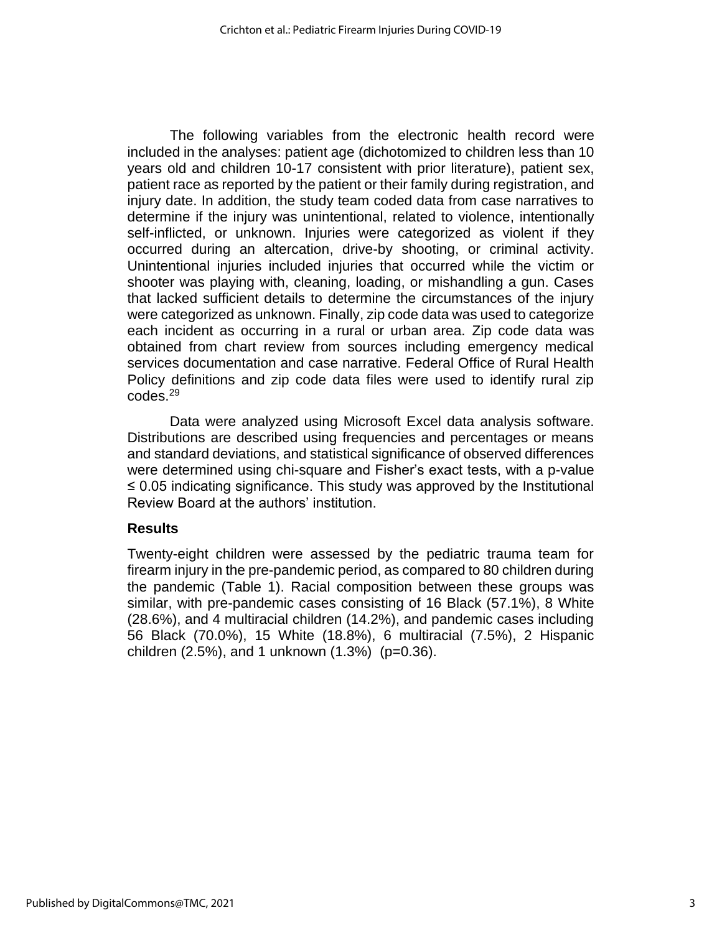The following variables from the electronic health record were included in the analyses: patient age (dichotomized to children less than 10 years old and children 10-17 consistent with prior literature), patient sex, patient race as reported by the patient or their family during registration, and injury date. In addition, the study team coded data from case narratives to determine if the injury was unintentional, related to violence, intentionally self-inflicted, or unknown. Injuries were categorized as violent if they occurred during an altercation, drive-by shooting, or criminal activity. Unintentional injuries included injuries that occurred while the victim or shooter was playing with, cleaning, loading, or mishandling a gun. Cases that lacked sufficient details to determine the circumstances of the injury were categorized as unknown. Finally, zip code data was used to categorize each incident as occurring in a rural or urban area. Zip code data was obtained from chart review from sources including emergency medical services documentation and case narrative. Federal Office of Rural Health Policy definitions and zip code data files were used to identify rural zip codes. 29

Data were analyzed using Microsoft Excel data analysis software. Distributions are described using frequencies and percentages or means and standard deviations, and statistical significance of observed differences were determined using chi-square and Fisher's exact tests, with a p-value ≤ 0.05 indicating significance. This study was approved by the Institutional Review Board at the authors' institution.

#### **Results**

Twenty-eight children were assessed by the pediatric trauma team for firearm injury in the pre-pandemic period, as compared to 80 children during the pandemic (Table 1). Racial composition between these groups was similar, with pre-pandemic cases consisting of 16 Black (57.1%), 8 White (28.6%), and 4 multiracial children (14.2%), and pandemic cases including 56 Black (70.0%), 15 White (18.8%), 6 multiracial (7.5%), 2 Hispanic children (2.5%), and 1 unknown (1.3%) (p=0.36).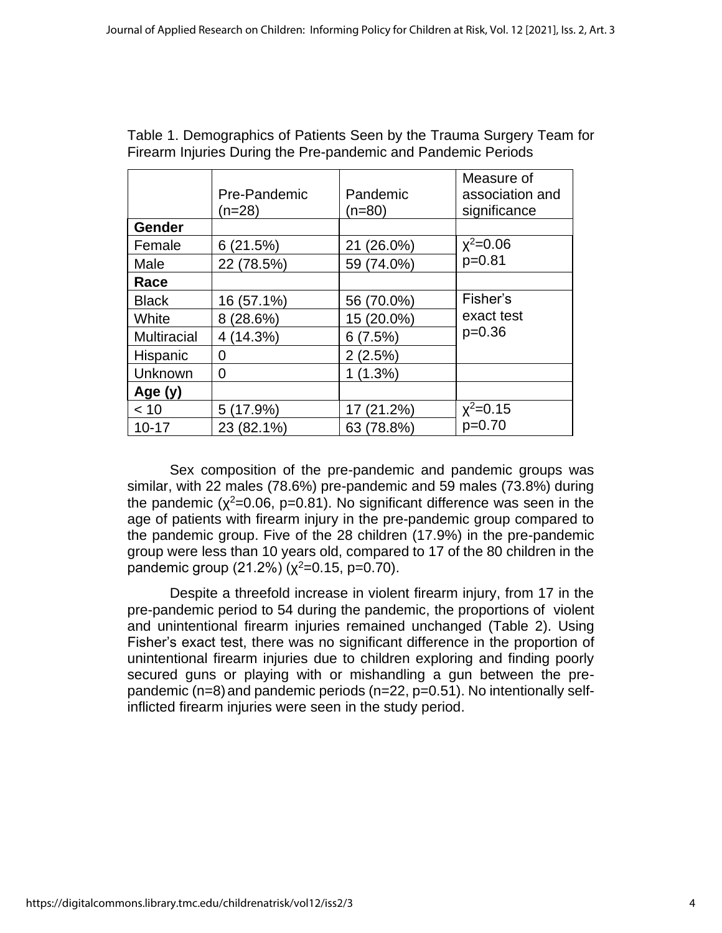|                    | Pre-Pandemic<br>(n=28) | Pandemic<br>(n=80) | Measure of<br>association and<br>significance |
|--------------------|------------------------|--------------------|-----------------------------------------------|
| Gender             |                        |                    |                                               |
| Female             | 6(21.5%)               | 21 (26.0%)         | $x^2 = 0.06$                                  |
| Male               | 22 (78.5%)             | 59 (74.0%)         | $p=0.81$                                      |
| Race               |                        |                    |                                               |
| <b>Black</b>       | 16 (57.1%)             | 56 (70.0%)         | Fisher's                                      |
| White              | 8(28.6%)               | 15 (20.0%)         | exact test                                    |
| <b>Multiracial</b> | 4 (14.3%)              | 6(7.5%)            | $p=0.36$                                      |
| Hispanic           | 0                      | 2(2.5%)            |                                               |
| Unknown            | 0                      | 1(1.3%)            |                                               |
| Age $(y)$          |                        |                    |                                               |
| < 10               | 5 (17.9%)              | 17 (21.2%)         | $x^2 = 0.15$                                  |
| $10 - 17$          | 23 (82.1%)             | 63 (78.8%)         | $p=0.70$                                      |

Table 1. Demographics of Patients Seen by the Trauma Surgery Team for Firearm Injuries During the Pre-pandemic and Pandemic Periods

Sex composition of the pre-pandemic and pandemic groups was similar, with 22 males (78.6%) pre-pandemic and 59 males (73.8%) during the pandemic ( $\chi^2$ =0.06, p=0.81). No significant difference was seen in the age of patients with firearm injury in the pre-pandemic group compared to the pandemic group. Five of the 28 children (17.9%) in the pre-pandemic group were less than 10 years old, compared to 17 of the 80 children in the pandemic group  $(21.2\%)$   $(\chi^2=0.15, p=0.70)$ .

Despite a threefold increase in violent firearm injury, from 17 in the pre-pandemic period to 54 during the pandemic, the proportions of violent and unintentional firearm injuries remained unchanged (Table 2). Using Fisher's exact test, there was no significant difference in the proportion of unintentional firearm injuries due to children exploring and finding poorly secured guns or playing with or mishandling a gun between the prepandemic ( $n=8$ ) and pandemic periods ( $n=22$ ,  $p=0.51$ ). No intentionally selfinflicted firearm injuries were seen in the study period.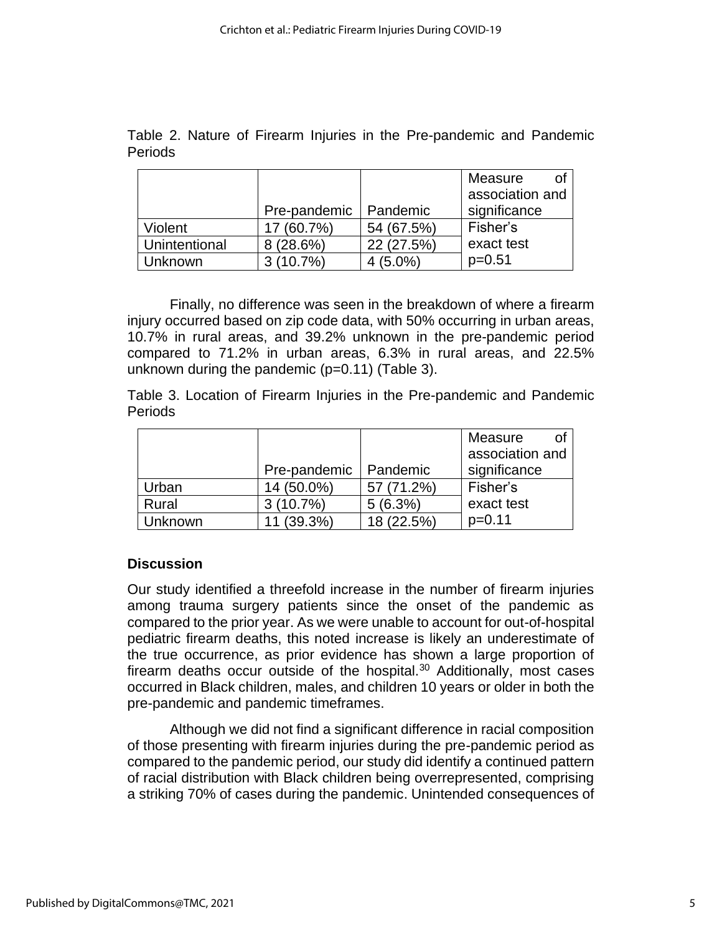|                |  |  |  | Table 2. Nature of Firearm Injuries in the Pre-pandemic and Pandemic |  |
|----------------|--|--|--|----------------------------------------------------------------------|--|
| <b>Periods</b> |  |  |  |                                                                      |  |

|               |              |            | Measure<br>Ωf   |
|---------------|--------------|------------|-----------------|
|               |              |            | association and |
|               | Pre-pandemic | Pandemic   | significance    |
| Violent       | $(60.7\%)$   | 54 (67.5%) | Fisher's        |
| Unintentional | 8(28.6%)     | 22 (27.5%) | exact test      |
| Unknown       | (10.7%)      | $(5.0\%)$  | $p=0.51$        |

Finally, no difference was seen in the breakdown of where a firearm injury occurred based on zip code data, with 50% occurring in urban areas, 10.7% in rural areas, and 39.2% unknown in the pre-pandemic period compared to 71.2% in urban areas, 6.3% in rural areas, and 22.5% unknown during the pandemic  $(p=0.11)$  (Table 3).

Table 3. Location of Firearm Injuries in the Pre-pandemic and Pandemic Periods

|                |              |            | of<br>Measure   |
|----------------|--------------|------------|-----------------|
|                |              |            | association and |
|                | Pre-pandemic | Pandemic   | significance    |
| Urban          | 14 (50.0%)   | 57 (71.2%) | Fisher's        |
| Rural          | $3(10.7\%)$  | 5(6.3%)    | exact test      |
| <b>Unknown</b> | (39.3%)      | 18 (22.5%) | $p=0.11$        |

### **Discussion**

Our study identified a threefold increase in the number of firearm injuries among trauma surgery patients since the onset of the pandemic as compared to the prior year. As we were unable to account for out-of-hospital pediatric firearm deaths, this noted increase is likely an underestimate of the true occurrence, as prior evidence has shown a large proportion of firearm deaths occur outside of the hospital.<sup>30</sup> Additionally, most cases occurred in Black children, males, and children 10 years or older in both the pre-pandemic and pandemic timeframes.

Although we did not find a significant difference in racial composition of those presenting with firearm injuries during the pre-pandemic period as compared to the pandemic period, our study did identify a continued pattern of racial distribution with Black children being overrepresented, comprising a striking 70% of cases during the pandemic. Unintended consequences of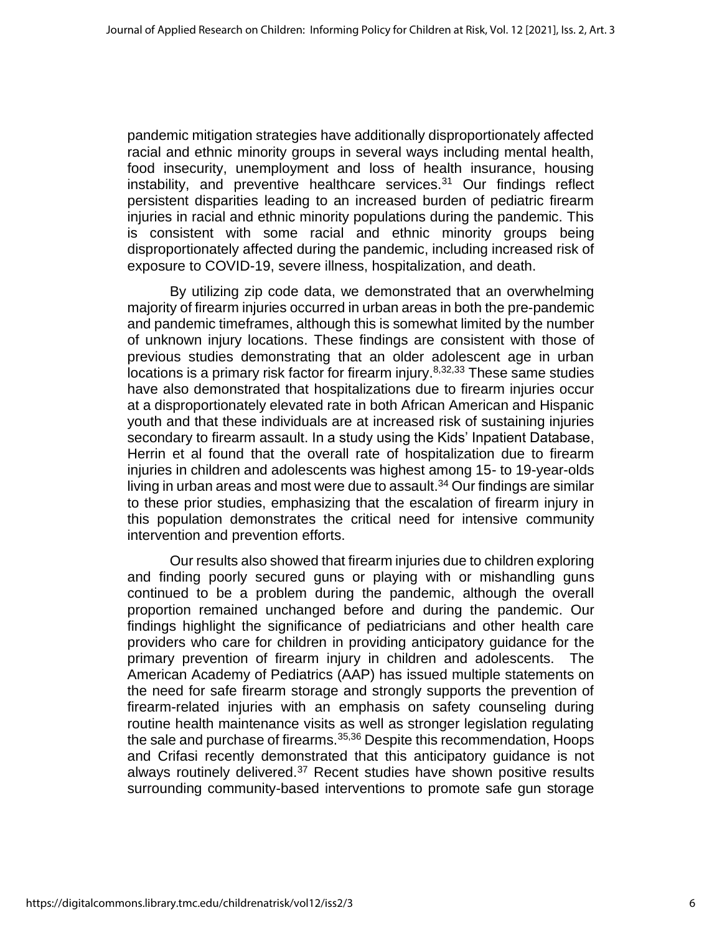pandemic mitigation strategies have additionally disproportionately affected racial and ethnic minority groups in several ways including mental health, food insecurity, unemployment and loss of health insurance, housing instability, and preventive healthcare services. $31$  Our findings reflect persistent disparities leading to an increased burden of pediatric firearm injuries in racial and ethnic minority populations during the pandemic. This is consistent with some racial and ethnic minority groups being disproportionately affected during the pandemic, including increased risk of exposure to COVID-19, severe illness, hospitalization, and death.

By utilizing zip code data, we demonstrated that an overwhelming majority of firearm injuries occurred in urban areas in both the pre-pandemic and pandemic timeframes, although this is somewhat limited by the number of unknown injury locations. These findings are consistent with those of previous studies demonstrating that an older adolescent age in urban locations is a primary risk factor for firearm injury.<sup>8,32,33</sup> These same studies have also demonstrated that hospitalizations due to firearm injuries occur at a disproportionately elevated rate in both African American and Hispanic youth and that these individuals are at increased risk of sustaining injuries secondary to firearm assault. In a study using the Kids' Inpatient Database, Herrin et al found that the overall rate of hospitalization due to firearm injuries in children and adolescents was highest among 15- to 19-year-olds living in urban areas and most were due to assault. <sup>34</sup> Our findings are similar to these prior studies, emphasizing that the escalation of firearm injury in this population demonstrates the critical need for intensive community intervention and prevention efforts.

Our results also showed that firearm injuries due to children exploring and finding poorly secured guns or playing with or mishandling guns continued to be a problem during the pandemic, although the overall proportion remained unchanged before and during the pandemic. Our findings highlight the significance of pediatricians and other health care providers who care for children in providing anticipatory guidance for the primary prevention of firearm injury in children and adolescents. The American Academy of Pediatrics (AAP) has issued multiple statements on the need for safe firearm storage and strongly supports the prevention of firearm-related injuries with an emphasis on safety counseling during routine health maintenance visits as well as stronger legislation regulating the sale and purchase of firearms.<sup>35,36</sup> Despite this recommendation, Hoops and Crifasi recently demonstrated that this anticipatory guidance is not always routinely delivered.<sup>37</sup> Recent studies have shown positive results surrounding community-based interventions to promote safe gun storage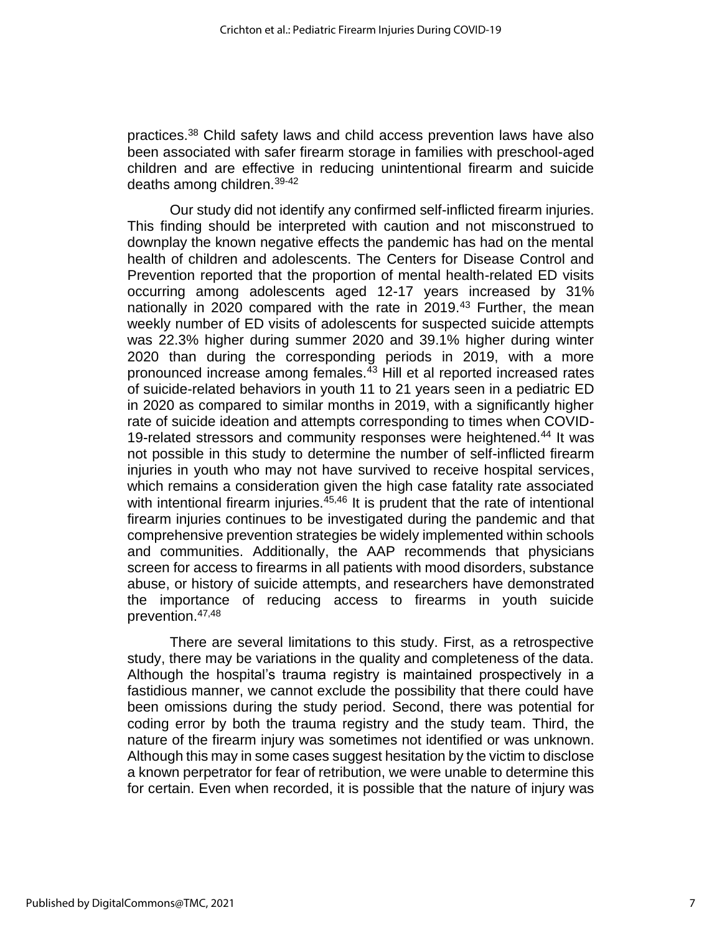practices.<sup>38</sup> Child safety laws and child access prevention laws have also been associated with safer firearm storage in families with preschool-aged children and are effective in reducing unintentional firearm and suicide deaths among children.39-42

Our study did not identify any confirmed self-inflicted firearm injuries. This finding should be interpreted with caution and not misconstrued to downplay the known negative effects the pandemic has had on the mental health of children and adolescents. The Centers for Disease Control and Prevention reported that the proportion of mental health-related ED visits occurring among adolescents aged 12-17 years increased by 31% nationally in 2020 compared with the rate in 2019.<sup>43</sup> Further, the mean weekly number of ED visits of adolescents for suspected suicide attempts was 22.3% higher during summer 2020 and 39.1% higher during winter 2020 than during the corresponding periods in 2019, with a more pronounced increase among females.<sup>43</sup> Hill et al reported increased rates of suicide-related behaviors in youth 11 to 21 years seen in a pediatric ED in 2020 as compared to similar months in 2019, with a significantly higher rate of suicide ideation and attempts corresponding to times when COVID-19-related stressors and community responses were heightened.<sup>44</sup> It was not possible in this study to determine the number of self-inflicted firearm injuries in youth who may not have survived to receive hospital services, which remains a consideration given the high case fatality rate associated with intentional firearm injuries.<sup>45,46</sup> It is prudent that the rate of intentional firearm injuries continues to be investigated during the pandemic and that comprehensive prevention strategies be widely implemented within schools and communities. Additionally, the AAP recommends that physicians screen for access to firearms in all patients with mood disorders, substance abuse, or history of suicide attempts, and researchers have demonstrated the importance of reducing access to firearms in youth suicide prevention.47,48

There are several limitations to this study. First, as a retrospective study, there may be variations in the quality and completeness of the data. Although the hospital's trauma registry is maintained prospectively in a fastidious manner, we cannot exclude the possibility that there could have been omissions during the study period. Second, there was potential for coding error by both the trauma registry and the study team. Third, the nature of the firearm injury was sometimes not identified or was unknown. Although this may in some cases suggest hesitation by the victim to disclose a known perpetrator for fear of retribution, we were unable to determine this for certain. Even when recorded, it is possible that the nature of injury was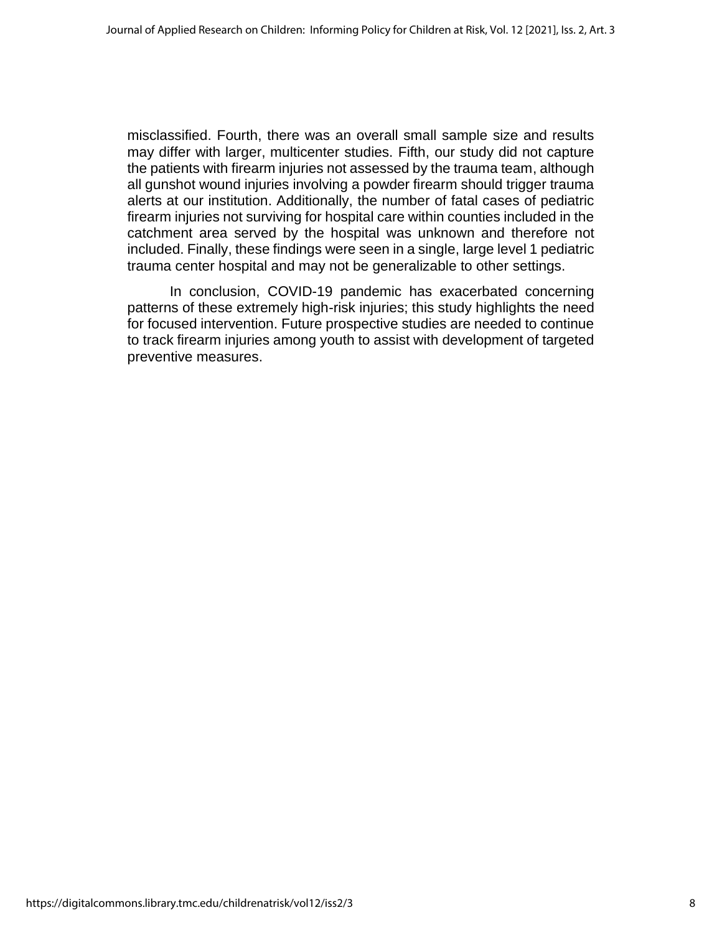misclassified. Fourth, there was an overall small sample size and results may differ with larger, multicenter studies. Fifth, our study did not capture the patients with firearm injuries not assessed by the trauma team, although all gunshot wound injuries involving a powder firearm should trigger trauma alerts at our institution. Additionally, the number of fatal cases of pediatric firearm injuries not surviving for hospital care within counties included in the catchment area served by the hospital was unknown and therefore not included. Finally, these findings were seen in a single, large level 1 pediatric trauma center hospital and may not be generalizable to other settings.

In conclusion, COVID-19 pandemic has exacerbated concerning patterns of these extremely high-risk injuries; this study highlights the need for focused intervention. Future prospective studies are needed to continue to track firearm injuries among youth to assist with development of targeted preventive measures.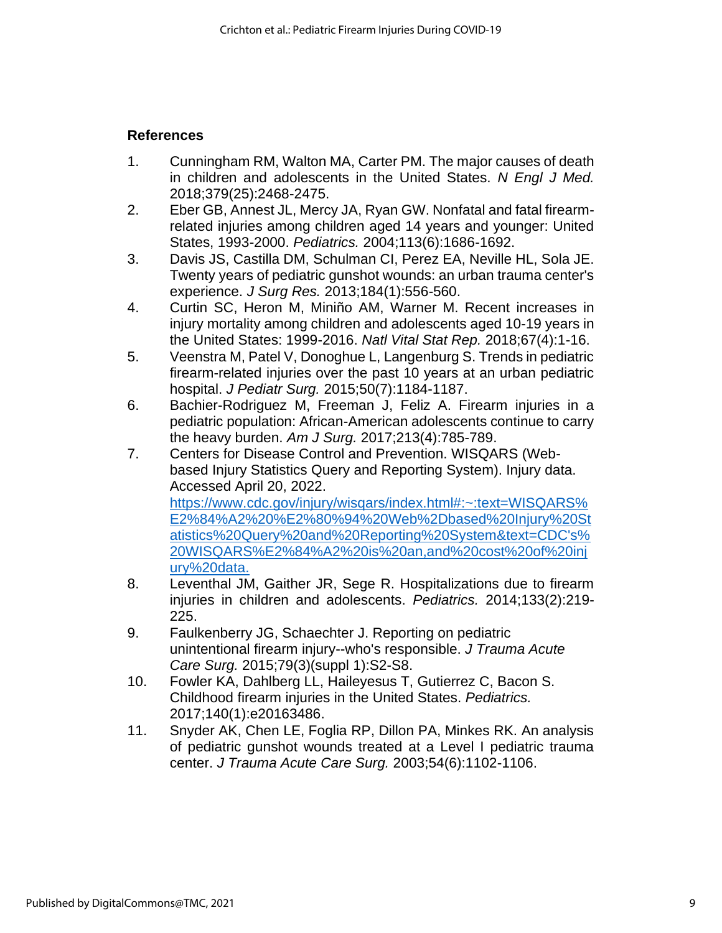## **References**

- 1. Cunningham RM, Walton MA, Carter PM. The major causes of death in children and adolescents in the United States. *N Engl J Med.*  2018;379(25):2468-2475.
- 2. Eber GB, Annest JL, Mercy JA, Ryan GW. Nonfatal and fatal firearmrelated injuries among children aged 14 years and younger: United States, 1993-2000. *Pediatrics.* 2004;113(6):1686-1692.
- 3. Davis JS, Castilla DM, Schulman CI, Perez EA, Neville HL, Sola JE. Twenty years of pediatric gunshot wounds: an urban trauma center's experience. *J Surg Res.* 2013;184(1):556-560.
- 4. Curtin SC, Heron M, Miniño AM, Warner M. Recent increases in injury mortality among children and adolescents aged 10-19 years in the United States: 1999-2016. *Natl Vital Stat Rep.* 2018;67(4):1-16.
- 5. Veenstra M, Patel V, Donoghue L, Langenburg S. Trends in pediatric firearm-related injuries over the past 10 years at an urban pediatric hospital. *J Pediatr Surg.* 2015;50(7):1184-1187.
- 6. Bachier-Rodriguez M, Freeman J, Feliz A. Firearm injuries in a pediatric population: African-American adolescents continue to carry the heavy burden. *Am J Surg.* 2017;213(4):785-789.
- 7. Centers for Disease Control and Prevention. WISQARS (Webbased Injury Statistics Query and Reporting System). Injury data. Accessed April 20, 2022. https://www.cdc.gov/injury/wisqars/index.html#:~:text=WISQARS% E2%84%A2%20%E2%80%94%20Web%2Dbased%20Injury%20St atistics%20Query%20and%20Reporting%20System&text=CDC's% 20WISQARS%E2%84%A2%20is%20an,and%20cost%20of%20inj ury%20data.
- 8. Leventhal JM, Gaither JR, Sege R. Hospitalizations due to firearm injuries in children and adolescents. *Pediatrics.* 2014;133(2):219- 225.
- 9. Faulkenberry JG, Schaechter J. Reporting on pediatric unintentional firearm injury--who's responsible. *J Trauma Acute Care Surg.* 2015;79(3)(suppl 1):S2-S8.
- 10. Fowler KA, Dahlberg LL, Haileyesus T, Gutierrez C, Bacon S. Childhood firearm injuries in the United States. *Pediatrics.*  2017;140(1):e20163486.
- 11. Snyder AK, Chen LE, Foglia RP, Dillon PA, Minkes RK. An analysis of pediatric gunshot wounds treated at a Level I pediatric trauma center. *J Trauma Acute Care Surg.* 2003;54(6):1102-1106.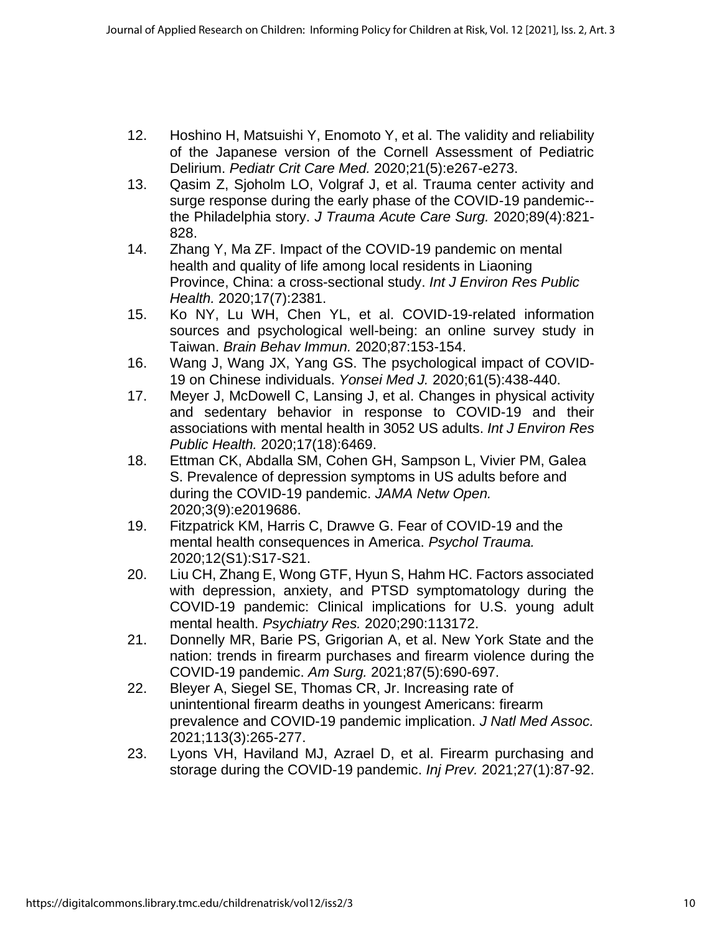- 12. Hoshino H, Matsuishi Y, Enomoto Y, et al. The validity and reliability of the Japanese version of the Cornell Assessment of Pediatric Delirium. *Pediatr Crit Care Med.* 2020;21(5):e267-e273.
- 13. Qasim Z, Sjoholm LO, Volgraf J, et al. Trauma center activity and surge response during the early phase of the COVID-19 pandemic- the Philadelphia story. *J Trauma Acute Care Surg.* 2020;89(4):821- 828.
- 14. Zhang Y, Ma ZF. Impact of the COVID-19 pandemic on mental health and quality of life among local residents in Liaoning Province, China: a cross-sectional study. *Int J Environ Res Public Health.* 2020;17(7):2381.
- 15. Ko NY, Lu WH, Chen YL, et al. COVID-19-related information sources and psychological well-being: an online survey study in Taiwan. *Brain Behav Immun.* 2020;87:153-154.
- 16. Wang J, Wang JX, Yang GS. The psychological impact of COVID-19 on Chinese individuals. *Yonsei Med J.* 2020;61(5):438-440.
- 17. Meyer J, McDowell C, Lansing J, et al. Changes in physical activity and sedentary behavior in response to COVID-19 and their associations with mental health in 3052 US adults. *Int J Environ Res Public Health.* 2020;17(18):6469.
- 18. Ettman CK, Abdalla SM, Cohen GH, Sampson L, Vivier PM, Galea S. Prevalence of depression symptoms in US adults before and during the COVID-19 pandemic. *JAMA Netw Open.*  2020;3(9):e2019686.
- 19. Fitzpatrick KM, Harris C, Drawve G. Fear of COVID-19 and the mental health consequences in America. *Psychol Trauma.*  2020;12(S1):S17-S21.
- 20. Liu CH, Zhang E, Wong GTF, Hyun S, Hahm HC. Factors associated with depression, anxiety, and PTSD symptomatology during the COVID-19 pandemic: Clinical implications for U.S. young adult mental health. *Psychiatry Res.* 2020;290:113172.
- 21. Donnelly MR, Barie PS, Grigorian A, et al. New York State and the nation: trends in firearm purchases and firearm violence during the COVID-19 pandemic. *Am Surg.* 2021;87(5):690-697.
- 22. Bleyer A, Siegel SE, Thomas CR, Jr. Increasing rate of unintentional firearm deaths in youngest Americans: firearm prevalence and COVID-19 pandemic implication. *J Natl Med Assoc.*  2021;113(3):265-277.
- 23. Lyons VH, Haviland MJ, Azrael D, et al. Firearm purchasing and storage during the COVID-19 pandemic. *Inj Prev.* 2021;27(1):87-92.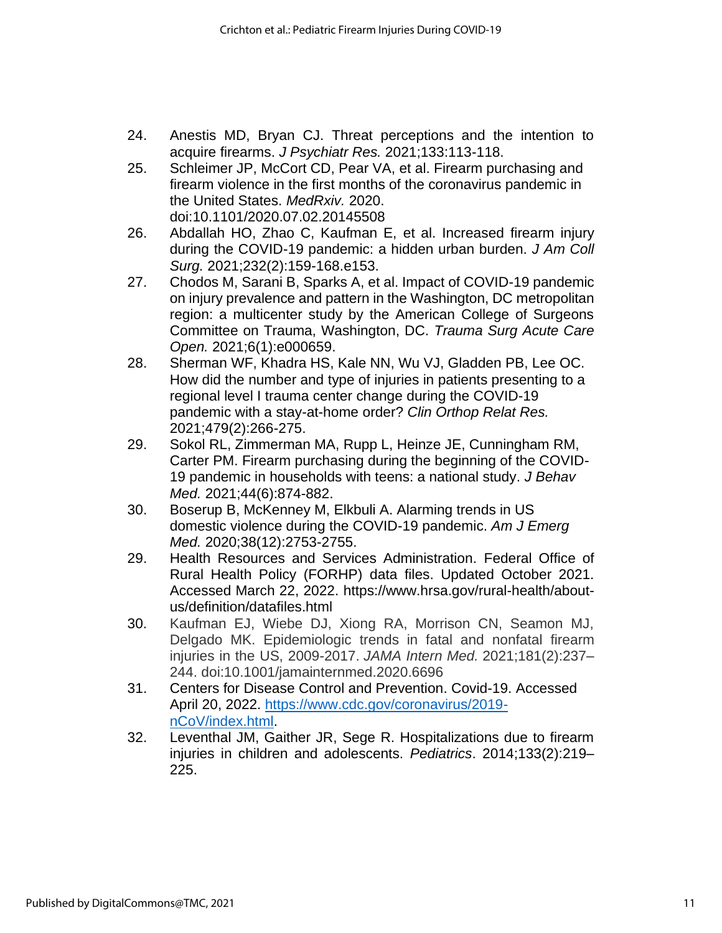- 24. Anestis MD, Bryan CJ. Threat perceptions and the intention to acquire firearms. *J Psychiatr Res.* 2021;133:113-118.
- 25. Schleimer JP, McCort CD, Pear VA, et al. Firearm purchasing and firearm violence in the first months of the coronavirus pandemic in the United States. *MedRxiv.* 2020. doi:10.1101/2020.07.02.20145508
- 26. Abdallah HO, Zhao C, Kaufman E, et al. Increased firearm injury during the COVID-19 pandemic: a hidden urban burden. *J Am Coll Surg.* 2021;232(2):159-168.e153.
- 27. Chodos M, Sarani B, Sparks A, et al. Impact of COVID-19 pandemic on injury prevalence and pattern in the Washington, DC metropolitan region: a multicenter study by the American College of Surgeons Committee on Trauma, Washington, DC. *Trauma Surg Acute Care Open.* 2021;6(1):e000659.
- 28. Sherman WF, Khadra HS, Kale NN, Wu VJ, Gladden PB, Lee OC. How did the number and type of injuries in patients presenting to a regional level I trauma center change during the COVID-19 pandemic with a stay-at-home order? *Clin Orthop Relat Res.*  2021;479(2):266-275.
- 29. Sokol RL, Zimmerman MA, Rupp L, Heinze JE, Cunningham RM, Carter PM. Firearm purchasing during the beginning of the COVID-19 pandemic in households with teens: a national study. *J Behav Med.* 2021;44(6):874-882.
- 30. Boserup B, McKenney M, Elkbuli A. Alarming trends in US domestic violence during the COVID-19 pandemic. *Am J Emerg Med.* 2020;38(12):2753-2755.
- 29. Health Resources and Services Administration. Federal Office of Rural Health Policy (FORHP) data files. Updated October 2021. Accessed March 22, 2022. https://www.hrsa.gov/rural-health/aboutus/definition/datafiles.html
- 30. Kaufman EJ, Wiebe DJ, Xiong RA, Morrison CN, Seamon MJ, Delgado MK. Epidemiologic trends in fatal and nonfatal firearm injuries in the US, 2009-2017. *JAMA Intern Med.* 2021;181(2):237– 244. doi:10.1001/jamainternmed.2020.6696
- 31. Centers for Disease Control and Prevention. Covid-19. Accessed April 20, 2022. [https://www.cdc.gov/coronavirus/2019](https://www.cdc.gov/coronavirus/2019-nCoV/index.html) [nCoV/index.html.](https://www.cdc.gov/coronavirus/2019-nCoV/index.html)
- 32. Leventhal JM, Gaither JR, Sege R. Hospitalizations due to firearm injuries in children and adolescents. *Pediatrics*. 2014;133(2):219– 225.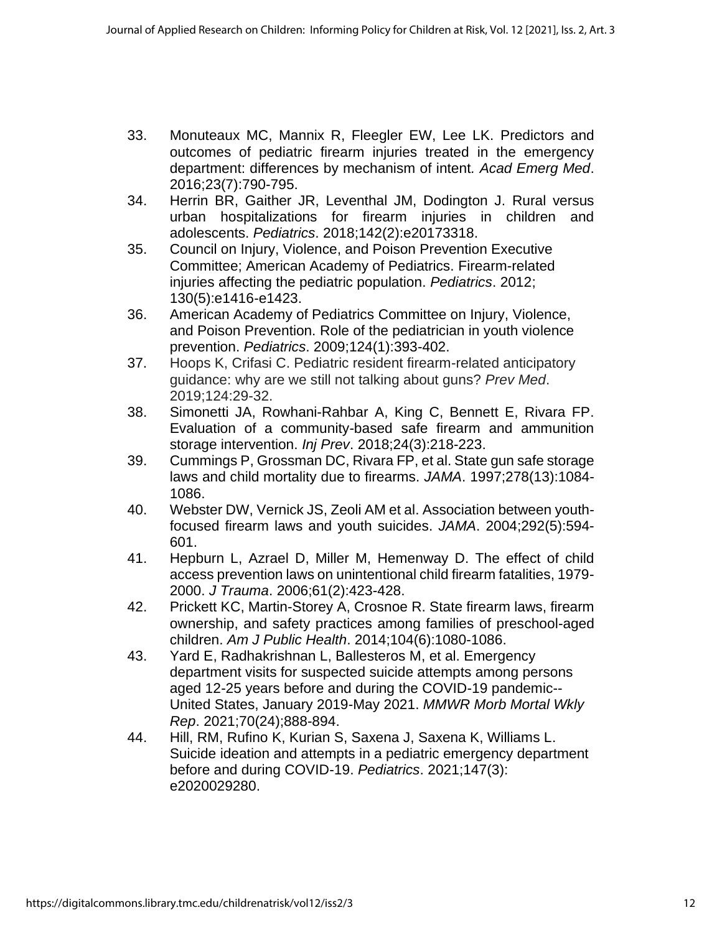- 33. Monuteaux MC, Mannix R, Fleegler EW, Lee LK. Predictors and outcomes of pediatric firearm injuries treated in the emergency department: differences by mechanism of intent*. Acad Emerg Med*. 2016;23(7):790-795.
- 34. Herrin BR, Gaither JR, Leventhal JM, Dodington J. Rural versus urban hospitalizations for firearm injuries in children and adolescents. *Pediatrics*. 2018;142(2):e20173318.
- 35. Council on Injury, Violence, and Poison Prevention Executive Committee; American Academy of Pediatrics. Firearm-related injuries affecting the pediatric population. *Pediatrics*. 2012; 130(5):e1416-e1423.
- 36. American Academy of Pediatrics Committee on Injury, Violence, and Poison Prevention. Role of the pediatrician in youth violence prevention. *Pediatrics*. 2009;124(1):393-402.
- 37. Hoops K, Crifasi C. Pediatric resident firearm-related anticipatory guidance: why are we still not talking about guns? *Prev Med*. 2019;124:29-32.
- 38. Simonetti JA, Rowhani-Rahbar A, King C, Bennett E, Rivara FP. Evaluation of a community-based safe firearm and ammunition storage intervention. *Inj Prev*. 2018;24(3):218-223.
- 39. Cummings P, Grossman DC, Rivara FP, et al. State gun safe storage laws and child mortality due to firearms. *JAMA*. 1997;278(13):1084- 1086.
- 40. Webster DW, Vernick JS, Zeoli AM et al. Association between youthfocused firearm laws and youth suicides. *JAMA*. 2004;292(5):594- 601.
- 41. Hepburn L, Azrael D, Miller M, Hemenway D. The effect of child access prevention laws on unintentional child firearm fatalities, 1979- 2000. *J Trauma*. 2006;61(2):423-428.
- 42. Prickett KC, Martin-Storey A, Crosnoe R. State firearm laws, firearm ownership, and safety practices among families of preschool-aged children. *Am J Public Health*. 2014;104(6):1080-1086.
- 43. Yard E, Radhakrishnan L, Ballesteros M, et al. Emergency department visits for suspected suicide attempts among persons aged 12-25 years before and during the COVID-19 pandemic-- United States, January 2019-May 2021. *MMWR Morb Mortal Wkly Rep*. 2021;70(24);888-894.
- 44. Hill, RM, Rufino K, Kurian S, Saxena J, Saxena K, Williams L. Suicide ideation and attempts in a pediatric emergency department before and during COVID-19. *Pediatrics*. 2021;147(3): e2020029280.